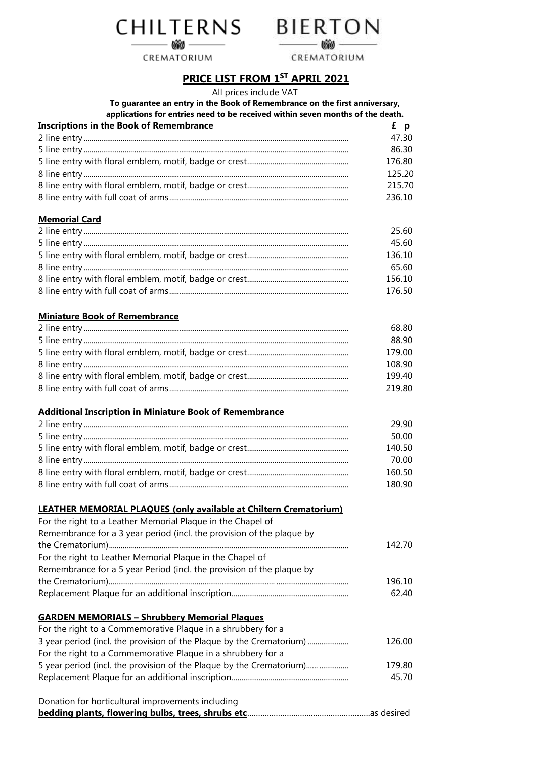CHILTERNS BIERTON

CREMATORIUM



CREMATORIUM

# **PRICE LIST FROM 1 ST APRIL 2021**

All prices include VAT

**To guarantee an entry in the Book of Remembrance on the first anniversary,** gammannes entries<br>ications for entries need t

| applications for entries need to be received within seven months of the death. |       |
|--------------------------------------------------------------------------------|-------|
| Inscriptions in the Book of Remembrance                                        | £ p   |
| 2 lina antru                                                                   | 17 JI |

| 47.30  |
|--------|
| 86.30  |
| 176.80 |
| 125.20 |
| 215.70 |
| 236.10 |

## **Memorial Card**

| 25.60  |
|--------|
| 45.60  |
| 136.10 |
| 65.60  |
| 156.10 |
| 176.50 |

## **Miniature Book of Remembrance**

| 68.80  |
|--------|
| 88.90  |
| 179.00 |
| 108.90 |
| 199.40 |
| 219.80 |

## **Additional Inscription in Miniature Book of Remembrance**

| 29.90  |
|--------|
| 50.00  |
| 140.50 |
| 70.00  |
| 160.50 |
| 180.90 |

# **LEATHER MEMORIAL PLAQUES (only available at Chiltern Crematorium)**

| For the right to a Leather Memorial Plaque in the Chapel of           |        |
|-----------------------------------------------------------------------|--------|
| Remembrance for a 3 year period (incl. the provision of the plaque by |        |
|                                                                       | 142.70 |
| For the right to Leather Memorial Plaque in the Chapel of             |        |
| Remembrance for a 5 year Period (incl. the provision of the plaque by |        |
|                                                                       | 196.10 |
|                                                                       | 62.40  |
| <b>GARDEN MEMORIALS - Shrubbery Memorial Plaques</b>                  |        |
| For the right to a Commemorative Plaque in a shrubbery for a          |        |
| 3 year period (incl. the provision of the Plaque by the Crematorium)  | 126.00 |
| For the right to a Commemorative Plaque in a shrubbery for a          |        |
|                                                                       | 179.80 |
|                                                                       | 45.70  |
| Donation for horticultural improvements including                     |        |
|                                                                       |        |